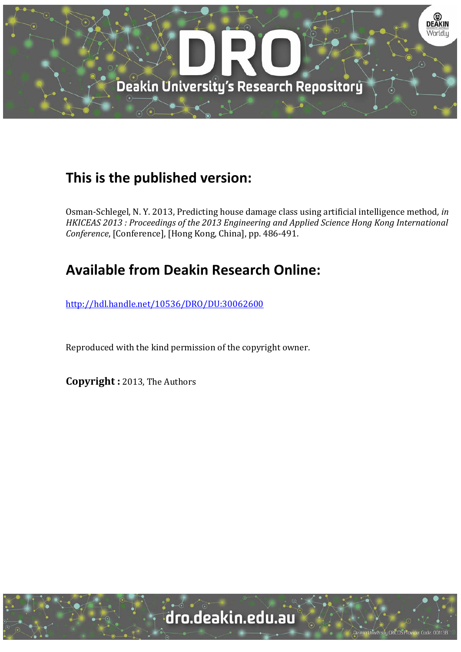

# **This is the published version:**

Osman-Schlegel, N. Y. 2013, Predicting house damage class using artificial intelligence method, *in HKICEAS 2013 : Proceedings of the 2013 Engineering and Applied Science Hong Kong International Conference*, [Conference], [Hong Kong, China], pp. 486-491.

# **Available from Deakin Research Online:**

http://hdl.handle.net/10536/DRO/DU:30062600

Reproduced with the kind permission of the copyright owner.

**Copyright :** 2013, The Authors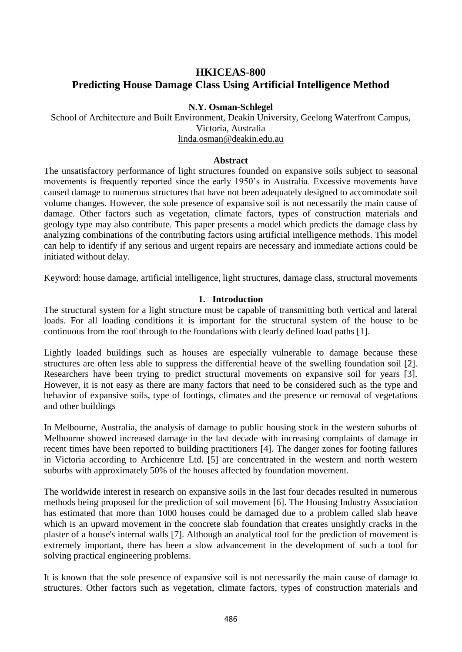# **HKICEAS-800 Predicting House Damage Class Using Artificial Intelligence Method**

### **N.Y. Osman-Schlegel**

School of Architecture and Built Environment, Deakin University, Geelong Waterfront Campus, Victoria, Australia [linda.osman@deakin.edu.au](mailto:linda.osman@deakin.edu.au)

#### **Abstract**

The unsatisfactory performance of light structures founded on expansive soils subject to seasonal movements is frequently reported since the early 1950's in Australia. Excessive movements have caused damage to numerous structures that have not been adequately designed to accommodate soil volume changes. However, the sole presence of expansive soil is not necessarily the main cause of damage. Other factors such as vegetation, climate factors, types of construction materials and geology type may also contribute. This paper presents a model which predicts the damage class by analyzing combinations of the contributing factors using artificial intelligence methods. This model can help to identify if any serious and urgent repairs are necessary and immediate actions could be initiated without delay.

Keyword: house damage, artificial intelligence, light structures, damage class, structural movements

#### **1. Introduction**

The structural system for a light structure must be capable of transmitting both vertical and lateral loads. For all loading conditions it is important for the structural system of the house to be continuous from the roof through to the foundations with clearly defined load paths [1].

Lightly loaded buildings such as houses are especially vulnerable to damage because these structures are often less able to suppress the differential heave of the swelling foundation soil [2]. Researchers have been trying to predict structural movements on expansive soil for years [3]. However, it is not easy as there are many factors that need to be considered such as the type and behavior of expansive soils, type of footings, climates and the presence or removal of vegetations and other buildings

In Melbourne, Australia, the analysis of damage to public housing stock in the western suburbs of Melbourne showed increased damage in the last decade with increasing complaints of damage in recent times have been reported to building practitioners [4]. The danger zones for footing failures in Victoria according to Archicentre Ltd. [5] are concentrated in the western and north western suburbs with approximately 50% of the houses affected by foundation movement.

The worldwide interest in research on expansive soils in the last four decades resulted in numerous methods being proposed for the prediction of soil movement [6]. The Housing Industry Association has estimated that more than 1000 houses could be damaged due to a problem called slab heave which is an upward movement in the concrete slab foundation that creates unsightly cracks in the plaster of a house's internal walls [7]. Although an analytical tool for the prediction of movement is extremely important, there has been a slow advancement in the development of such a tool for solving practical engineering problems.

It is known that the sole presence of expansive soil is not necessarily the main cause of damage to structures. Other factors such as vegetation, climate factors, types of construction materials and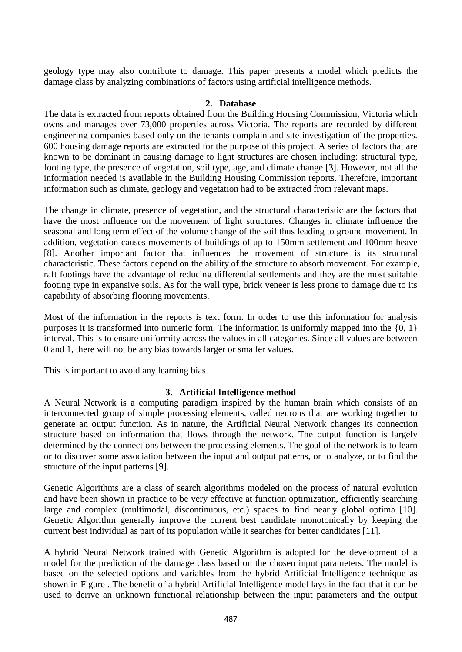geology type may also contribute to damage. This paper presents a model which predicts the damage class by analyzing combinations of factors using artificial intelligence methods.

#### **2. Database**

The data is extracted from reports obtained from the Building Housing Commission, Victoria which owns and manages over 73,000 properties across Victoria. The reports are recorded by different engineering companies based only on the tenants complain and site investigation of the properties. 600 housing damage reports are extracted for the purpose of this project. A series of factors that are known to be dominant in causing damage to light structures are chosen including: structural type, footing type, the presence of vegetation, soil type, age, and climate change [3]. However, not all the information needed is available in the Building Housing Commission reports. Therefore, important information such as climate, geology and vegetation had to be extracted from relevant maps.

The change in climate, presence of vegetation, and the structural characteristic are the factors that have the most influence on the movement of light structures. Changes in climate influence the seasonal and long term effect of the volume change of the soil thus leading to ground movement. In addition, vegetation causes movements of buildings of up to 150mm settlement and 100mm heave [8]. Another important factor that influences the movement of structure is its structural characteristic. These factors depend on the ability of the structure to absorb movement. For example, raft footings have the advantage of reducing differential settlements and they are the most suitable footing type in expansive soils. As for the wall type, brick veneer is less prone to damage due to its capability of absorbing flooring movements.

Most of the information in the reports is text form. In order to use this information for analysis purposes it is transformed into numeric form. The information is uniformly mapped into the  $\{0, 1\}$ interval. This is to ensure uniformity across the values in all categories. Since all values are between 0 and 1, there will not be any bias towards larger or smaller values.

This is important to avoid any learning bias.

#### **3. Artificial Intelligence method**

A Neural Network is a computing paradigm inspired by the human brain which consists of an interconnected group of simple processing elements, called neurons that are working together to generate an output function. As in nature, the Artificial Neural Network changes its connection structure based on information that flows through the network. The output function is largely determined by the connections between the processing elements. The goal of the network is to learn or to discover some association between the input and output patterns, or to analyze, or to find the structure of the input patterns [9].

Genetic Algorithms are a class of search algorithms modeled on the process of natural evolution and have been shown in practice to be very effective at function optimization, efficiently searching large and complex (multimodal, discontinuous, etc.) spaces to find nearly global optima [10]. Genetic Algorithm generally improve the current best candidate monotonically by keeping the current best individual as part of its population while it searches for better candidates [11].

A hybrid Neural Network trained with Genetic Algorithm is adopted for the development of a model for the prediction of the damage class based on the chosen input parameters. The model is based on the selected options and variables from the hybrid Artificial Intelligence technique as shown in [Figure .](#page-3-0) The benefit of a hybrid Artificial Intelligence model lays in the fact that it can be used to derive an unknown functional relationship between the input parameters and the output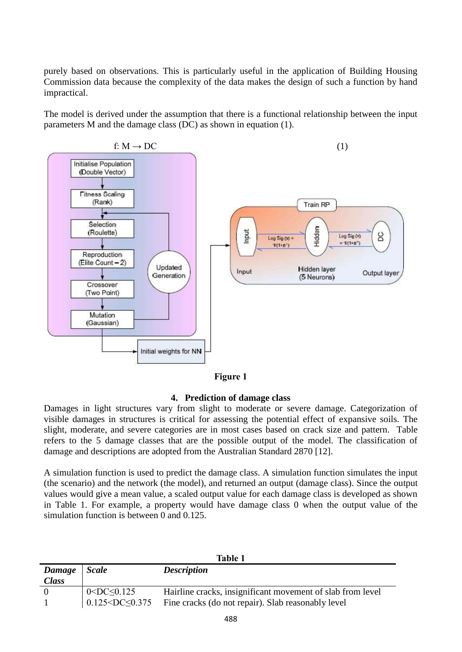purely based on observations. This is particularly useful in the application of Building Housing Commission data because the complexity of the data makes the design of such a function by hand impractical.

The model is derived under the assumption that there is a functional relationship between the input parameters M and the damage class (DC) as shown in equation (1).



**Figure 1**

## **4. Prediction of damage class**

<span id="page-3-0"></span>Damages in light structures vary from slight to moderate or severe damage. Categorization of visible damages in structures is critical for assessing the potential effect of expansive soils. The slight, moderate, and severe categories are in most cases based on crack size and pattern. [Table](#page-3-1)  refers to the 5 damage classes that are the possible output of the model. The classification of damage and descriptions are adopted from the Australian Standard 2870 [12].

A simulation function is used to predict the damage class. A simulation function simulates the input (the scenario) and the network (the model), and returned an output (damage class). Since the output values would give a mean value, a scaled output value for each damage class is developed as shown in Table 1. For example, a property would have damage class 0 when the output value of the simulation function is between 0 and 0.125.

<span id="page-3-1"></span>

|              | Table 1                 |                                                            |  |  |  |
|--------------|-------------------------|------------------------------------------------------------|--|--|--|
| Damage       | <b>Scale</b>            | <b>Description</b>                                         |  |  |  |
| <b>Class</b> |                         |                                                            |  |  |  |
|              | $\sim$ DC $\leq$ 0.125  | Hairline cracks, insignificant movement of slab from level |  |  |  |
|              | $0.125 < DC \leq 0.375$ | Fine cracks (do not repair). Slab reasonably level         |  |  |  |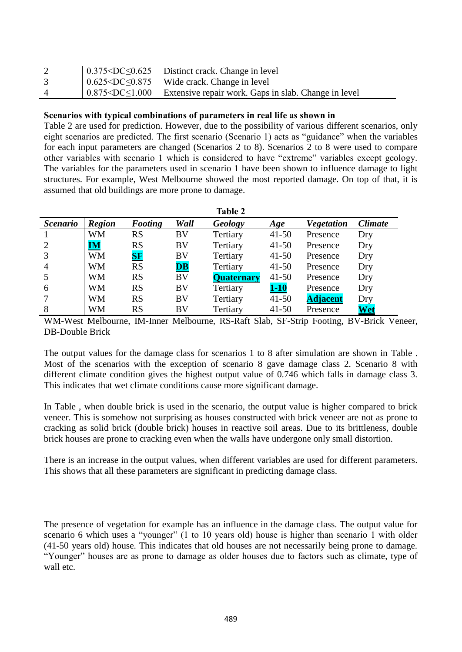|          | $\vert 0.375 \leq DC \leq 0.625$ Distinct crack. Change in level                      |
|----------|---------------------------------------------------------------------------------------|
|          | $\vert 0.625 \leq DC \leq 0.875$ Wide crack. Change in level                          |
| $\Delta$ | $\vert 0.875 \leq DC \leq 1.000$ Extensive repair work. Gaps in slab. Change in level |

### **Scenarios with typical combinations of parameters in real life as shown in**

[Table 2](#page-4-0) are used for prediction. However, due to the possibility of various different scenarios, only eight scenarios are predicted. The first scenario (Scenario 1) acts as "guidance" when the variables for each input parameters are changed (Scenarios 2 to 8). Scenarios 2 to 8 were used to compare other variables with scenario 1 which is considered to have "extreme" variables except geology. The variables for the parameters used in scenario 1 have been shown to influence damage to light structures. For example, West Melbourne showed the most reported damage. On top of that, it is assumed that old buildings are more prone to damage.

<span id="page-4-0"></span>

|                 |                                   |                  |                          | <b>Table 2</b>    |           |                   |                |
|-----------------|-----------------------------------|------------------|--------------------------|-------------------|-----------|-------------------|----------------|
| <b>Scenario</b> | <b>Region</b>                     | Footing          | Wall                     | Geology           | Age       | <b>Vegetation</b> | <b>Climate</b> |
|                 | WM                                | <b>RS</b>        | BV                       | Tertiary          | $41 - 50$ | Presence          | Dry            |
| 2               | $\overline{\mathbf{I}\mathbf{M}}$ | <b>RS</b>        | BV                       | Tertiary          | $41 - 50$ | Presence          | Dry            |
| 3               | <b>WM</b>                         | ${\bf S}{\bf F}$ | BV                       | Tertiary          | $41 - 50$ | Presence          | Dry            |
| $\overline{4}$  | WM                                | <b>RS</b>        | $\overline{\mathbf{DB}}$ | Tertiary          | $41 - 50$ | Presence          | Dry            |
|                 | WM                                | RS               | BV                       | <b>Quaternary</b> | $41 - 50$ | Presence          | Dry            |
| 6               | WM                                | <b>RS</b>        | BV                       | Tertiary          | $1-10$    | Presence          | Dry            |
|                 | WM                                | RS               | BV                       | Tertiary          | $41 - 50$ | <b>Adjacent</b>   | Dry            |
| 8               | WM                                | <b>RS</b>        | BV                       | Tertiary          | $41 - 50$ | Presence          | Wet            |

WM-West Melbourne, IM-Inner Melbourne, RS-Raft Slab, SF-Strip Footing, BV-Brick Veneer, DB-Double Brick

The output values for the damage class for scenarios 1 to 8 after simulation are shown in [Table .](#page-5-0) Most of the scenarios with the exception of scenario 8 gave damage class 2. Scenario 8 with different climate condition gives the highest output value of 0.746 which falls in damage class 3. This indicates that wet climate conditions cause more significant damage.

In [Table ,](#page-5-0) when double brick is used in the scenario, the output value is higher compared to brick veneer. This is somehow not surprising as houses constructed with brick veneer are not as prone to cracking as solid brick (double brick) houses in reactive soil areas. Due to its brittleness, double brick houses are prone to cracking even when the walls have undergone only small distortion.

There is an increase in the output values, when different variables are used for different parameters. This shows that all these parameters are significant in predicting damage class.

The presence of vegetation for example has an influence in the damage class. The output value for scenario 6 which uses a "younger" (1 to 10 years old) house is higher than scenario 1 with older (41-50 years old) house. This indicates that old houses are not necessarily being prone to damage. "Younger" houses are as prone to damage as older houses due to factors such as climate, type of wall etc.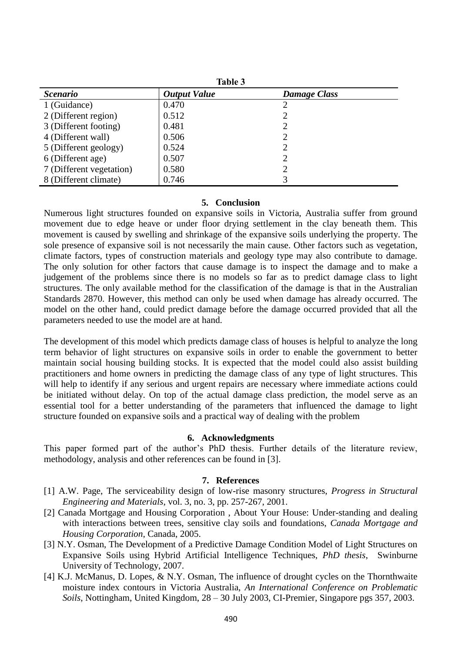<span id="page-5-0"></span>

|                          | <b>Table 3</b>      |                     |
|--------------------------|---------------------|---------------------|
| <i>Scenario</i>          | <b>Output Value</b> | <b>Damage Class</b> |
| 1 (Guidance)             | 0.470               |                     |
| 2 (Different region)     | 0.512               |                     |
| 3 (Different footing)    | 0.481               |                     |
| 4 (Different wall)       | 0.506               |                     |
| 5 (Different geology)    | 0.524               |                     |
| 6 (Different age)        | 0.507               |                     |
| 7 (Different vegetation) | 0.580               |                     |
| 8 (Different climate)    | 0.746               |                     |

#### **5. Conclusion**

Numerous light structures founded on expansive soils in Victoria, Australia suffer from ground movement due to edge heave or under floor drying settlement in the clay beneath them. This movement is caused by swelling and shrinkage of the expansive soils underlying the property. The sole presence of expansive soil is not necessarily the main cause. Other factors such as vegetation, climate factors, types of construction materials and geology type may also contribute to damage. The only solution for other factors that cause damage is to inspect the damage and to make a judgement of the problems since there is no models so far as to predict damage class to light structures. The only available method for the classification of the damage is that in the Australian Standards 2870. However, this method can only be used when damage has already occurred. The model on the other hand, could predict damage before the damage occurred provided that all the parameters needed to use the model are at hand.

The development of this model which predicts damage class of houses is helpful to analyze the long term behavior of light structures on expansive soils in order to enable the government to better maintain social housing building stocks. It is expected that the model could also assist building practitioners and home owners in predicting the damage class of any type of light structures. This will help to identify if any serious and urgent repairs are necessary where immediate actions could be initiated without delay. On top of the actual damage class prediction, the model serve as an essential tool for a better understanding of the parameters that influenced the damage to light structure founded on expansive soils and a practical way of dealing with the problem

#### **6. Acknowledgments**

This paper formed part of the author's PhD thesis. Further details of the literature review, methodology, analysis and other references can be found in [3].

#### **7. References**

- [1] A.W. Page, The serviceability design of low-rise masonry structures, *Progress in Structural Engineering and Materials*, vol. 3, no. 3, pp. 257-267, 2001.
- [2] Canada Mortgage and Housing Corporation , About Your House: Under-standing and dealing with interactions between trees, sensitive clay soils and foundations, *Canada Mortgage and Housing Corporation*, Canada, 2005.
- [3] N.Y. Osman, The Development of a Predictive Damage Condition Model of Light Structures on Expansive Soils using Hybrid Artificial Intelligence Techniques, *PhD thesis*, Swinburne University of Technology, 2007.
- [4] K.J. McManus, D. Lopes, & N.Y. Osman, The influence of drought cycles on the Thornthwaite moisture index contours in Victoria Australia, *An International Conference on Problematic Soils*, Nottingham, United Kingdom, 28 – 30 July 2003, CI-Premier, Singapore pgs 357, 2003.